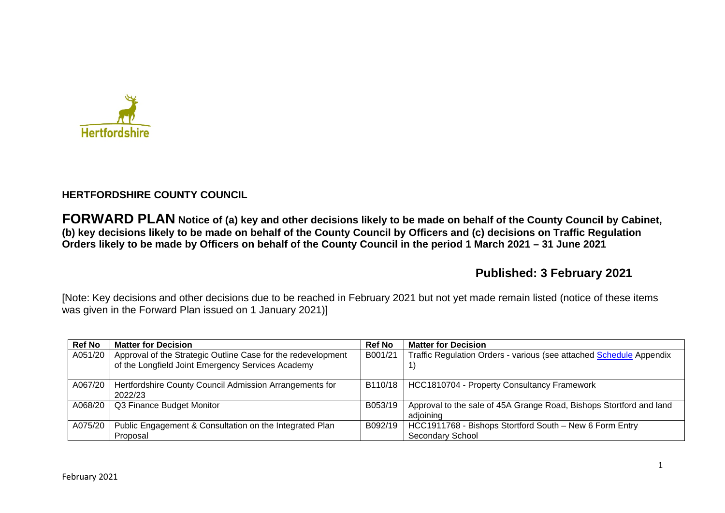

## **HERTFORDSHIRE COUNTY COUNCIL**

**FORWARD PLAN Notice of (a) key and other decisions likely to be made on behalf of the County Council by Cabinet, (b) key decisions likely to be made on behalf of the County Council by Officers and (c) decisions on Traffic Regulation Orders likely to be made by Officers on behalf of the County Council in the period 1 March 2021 – 31 June 2021** 

# **Published: 3 February 2021**

[Note: Key decisions and other decisions due to be reached in February 2021 but not yet made remain listed (notice of these items was given in the Forward Plan issued on 1 January 2021)]

| <b>Ref No</b> | <b>Matter for Decision</b>                                   | <b>Ref No</b> | <b>Matter for Decision</b>                                          |
|---------------|--------------------------------------------------------------|---------------|---------------------------------------------------------------------|
| A051/20       | Approval of the Strategic Outline Case for the redevelopment | B001/21       | Traffic Regulation Orders - various (see attached Schedule Appendix |
|               | of the Longfield Joint Emergency Services Academy            |               |                                                                     |
| A067/20       | Hertfordshire County Council Admission Arrangements for      | B110/18       | HCC1810704 - Property Consultancy Framework                         |
|               | 2022/23                                                      |               |                                                                     |
| A068/20       | Q3 Finance Budget Monitor                                    | B053/19       | Approval to the sale of 45A Grange Road, Bishops Stortford and land |
|               |                                                              |               | adjoining                                                           |
| A075/20       | Public Engagement & Consultation on the Integrated Plan      | B092/19       | HCC1911768 - Bishops Stortford South - New 6 Form Entry             |
|               | Proposal                                                     |               | <b>Secondary School</b>                                             |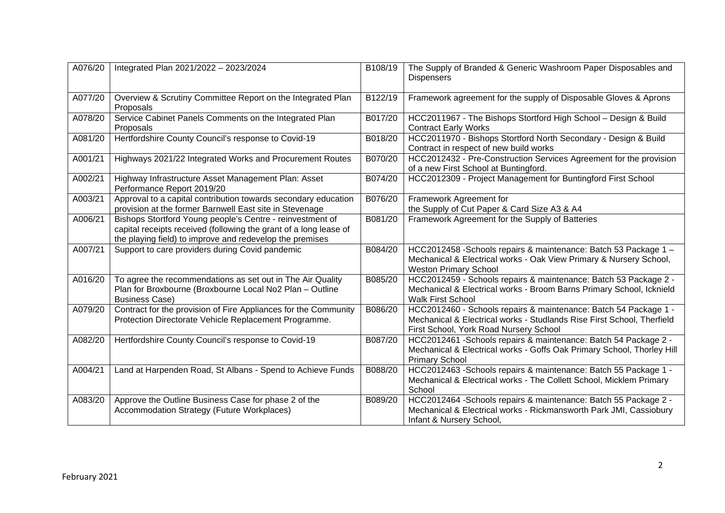| A076/20 | Integrated Plan 2021/2022 - 2023/2024                                                                                                                                                      | B108/19 | The Supply of Branded & Generic Washroom Paper Disposables and<br><b>Dispensers</b>                                                                                                  |
|---------|--------------------------------------------------------------------------------------------------------------------------------------------------------------------------------------------|---------|--------------------------------------------------------------------------------------------------------------------------------------------------------------------------------------|
| A077/20 | Overview & Scrutiny Committee Report on the Integrated Plan<br>Proposals                                                                                                                   | B122/19 | Framework agreement for the supply of Disposable Gloves & Aprons                                                                                                                     |
| A078/20 | Service Cabinet Panels Comments on the Integrated Plan<br>Proposals                                                                                                                        | B017/20 | HCC2011967 - The Bishops Stortford High School - Design & Build<br><b>Contract Early Works</b>                                                                                       |
| A081/20 | Hertfordshire County Council's response to Covid-19                                                                                                                                        | B018/20 | HCC2011970 - Bishops Stortford North Secondary - Design & Build<br>Contract in respect of new build works                                                                            |
| A001/21 | Highways 2021/22 Integrated Works and Procurement Routes                                                                                                                                   | B070/20 | HCC2012432 - Pre-Construction Services Agreement for the provision<br>of a new First School at Buntingford.                                                                          |
| A002/21 | Highway Infrastructure Asset Management Plan: Asset<br>Performance Report 2019/20                                                                                                          | B074/20 | HCC2012309 - Project Management for Buntingford First School                                                                                                                         |
| A003/21 | Approval to a capital contribution towards secondary education<br>provision at the former Barnwell East site in Stevenage                                                                  | B076/20 | Framework Agreement for<br>the Supply of Cut Paper & Card Size A3 & A4                                                                                                               |
| A006/21 | Bishops Stortford Young people's Centre - reinvestment of<br>capital receipts received (following the grant of a long lease of<br>the playing field) to improve and redevelop the premises | B081/20 | Framework Agreement for the Supply of Batteries                                                                                                                                      |
| A007/21 | Support to care providers during Covid pandemic                                                                                                                                            | B084/20 | HCC2012458 -Schools repairs & maintenance: Batch 53 Package 1 -<br>Mechanical & Electrical works - Oak View Primary & Nursery School,<br><b>Weston Primary School</b>                |
| A016/20 | To agree the recommendations as set out in The Air Quality<br>Plan for Broxbourne (Broxbourne Local No2 Plan - Outline<br><b>Business Case)</b>                                            | B085/20 | HCC2012459 - Schools repairs & maintenance: Batch 53 Package 2 -<br>Mechanical & Electrical works - Broom Barns Primary School, Icknield<br><b>Walk First School</b>                 |
| A079/20 | Contract for the provision of Fire Appliances for the Community<br>Protection Directorate Vehicle Replacement Programme.                                                                   | B086/20 | HCC2012460 - Schools repairs & maintenance: Batch 54 Package 1 -<br>Mechanical & Electrical works - Studlands Rise First School, Therfield<br>First School, York Road Nursery School |
| A082/20 | Hertfordshire County Council's response to Covid-19                                                                                                                                        | B087/20 | HCC2012461 -Schools repairs & maintenance: Batch 54 Package 2 -<br>Mechanical & Electrical works - Goffs Oak Primary School, Thorley Hill<br><b>Primary School</b>                   |
| A004/21 | Land at Harpenden Road, St Albans - Spend to Achieve Funds                                                                                                                                 | B088/20 | HCC2012463 -Schools repairs & maintenance: Batch 55 Package 1 -<br>Mechanical & Electrical works - The Collett School, Micklem Primary<br>School                                     |
| A083/20 | Approve the Outline Business Case for phase 2 of the<br>Accommodation Strategy (Future Workplaces)                                                                                         | B089/20 | HCC2012464 -Schools repairs & maintenance: Batch 55 Package 2 -<br>Mechanical & Electrical works - Rickmansworth Park JMI, Cassiobury<br>Infant & Nursery School,                    |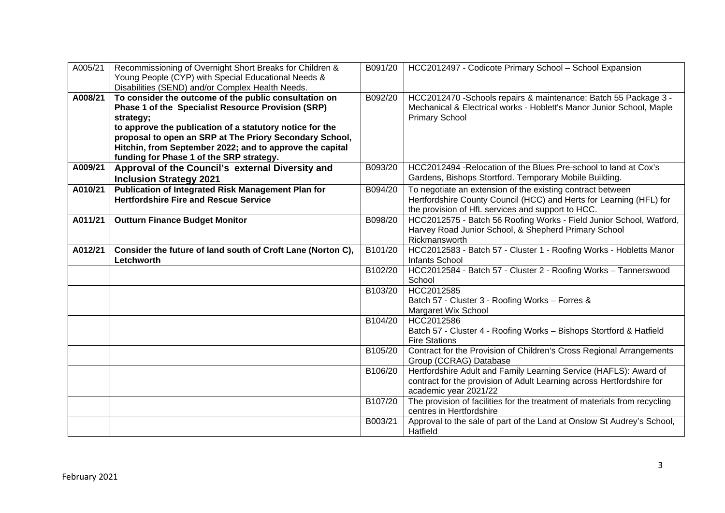| A005/21 | Recommissioning of Overnight Short Breaks for Children &<br>Young People (CYP) with Special Educational Needs &<br>Disabilities (SEND) and/or Complex Health Needs.                                                                                                                                                                                     | B091/20 | HCC2012497 - Codicote Primary School - School Expansion                                                                                                                                |
|---------|---------------------------------------------------------------------------------------------------------------------------------------------------------------------------------------------------------------------------------------------------------------------------------------------------------------------------------------------------------|---------|----------------------------------------------------------------------------------------------------------------------------------------------------------------------------------------|
| A008/21 | To consider the outcome of the public consultation on<br>Phase 1 of the Specialist Resource Provision (SRP)<br>strategy;<br>to approve the publication of a statutory notice for the<br>proposal to open an SRP at The Priory Secondary School,<br>Hitchin, from September 2022; and to approve the capital<br>funding for Phase 1 of the SRP strategy. | B092/20 | HCC2012470 -Schools repairs & maintenance: Batch 55 Package 3 -<br>Mechanical & Electrical works - Hoblett's Manor Junior School, Maple<br><b>Primary School</b>                       |
| A009/21 | Approval of the Council's external Diversity and<br><b>Inclusion Strategy 2021</b>                                                                                                                                                                                                                                                                      | B093/20 | HCC2012494 - Relocation of the Blues Pre-school to land at Cox's<br>Gardens, Bishops Stortford. Temporary Mobile Building.                                                             |
| A010/21 | Publication of Integrated Risk Management Plan for<br><b>Hertfordshire Fire and Rescue Service</b>                                                                                                                                                                                                                                                      | B094/20 | To negotiate an extension of the existing contract between<br>Hertfordshire County Council (HCC) and Herts for Learning (HFL) for<br>the provision of HfL services and support to HCC. |
| A011/21 | <b>Outturn Finance Budget Monitor</b>                                                                                                                                                                                                                                                                                                                   | B098/20 | HCC2012575 - Batch 56 Roofing Works - Field Junior School, Watford,<br>Harvey Road Junior School, & Shepherd Primary School<br>Rickmansworth                                           |
| A012/21 | Consider the future of land south of Croft Lane (Norton C),<br>Letchworth                                                                                                                                                                                                                                                                               | B101/20 | HCC2012583 - Batch 57 - Cluster 1 - Roofing Works - Hobletts Manor<br>Infants School                                                                                                   |
|         |                                                                                                                                                                                                                                                                                                                                                         | B102/20 | HCC2012584 - Batch 57 - Cluster 2 - Roofing Works - Tannerswood<br>School                                                                                                              |
|         |                                                                                                                                                                                                                                                                                                                                                         | B103/20 | HCC2012585<br>Batch 57 - Cluster 3 - Roofing Works - Forres &<br><b>Margaret Wix School</b>                                                                                            |
|         |                                                                                                                                                                                                                                                                                                                                                         | B104/20 | HCC2012586<br>Batch 57 - Cluster 4 - Roofing Works - Bishops Stortford & Hatfield<br><b>Fire Stations</b>                                                                              |
|         |                                                                                                                                                                                                                                                                                                                                                         | B105/20 | Contract for the Provision of Children's Cross Regional Arrangements<br>Group (CCRAG) Database                                                                                         |
|         |                                                                                                                                                                                                                                                                                                                                                         | B106/20 | Hertfordshire Adult and Family Learning Service (HAFLS): Award of<br>contract for the provision of Adult Learning across Hertfordshire for<br>academic year 2021/22                    |
|         |                                                                                                                                                                                                                                                                                                                                                         | B107/20 | The provision of facilities for the treatment of materials from recycling<br>centres in Hertfordshire                                                                                  |
|         |                                                                                                                                                                                                                                                                                                                                                         | B003/21 | Approval to the sale of part of the Land at Onslow St Audrey's School,<br>Hatfield                                                                                                     |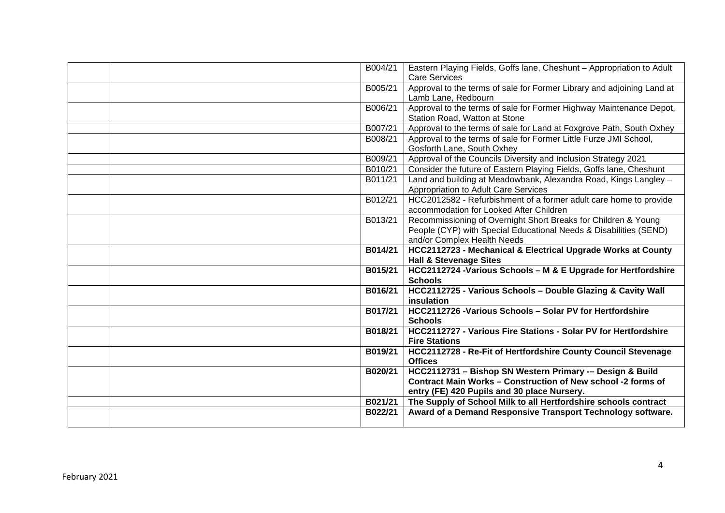| B004/21 | Eastern Playing Fields, Goffs lane, Cheshunt - Appropriation to Adult            |
|---------|----------------------------------------------------------------------------------|
|         | <b>Care Services</b>                                                             |
| B005/21 | Approval to the terms of sale for Former Library and adjoining Land at           |
|         | Lamb Lane, Redbourn                                                              |
| B006/21 | Approval to the terms of sale for Former Highway Maintenance Depot,              |
|         | Station Road, Watton at Stone                                                    |
| B007/21 | Approval to the terms of sale for Land at Foxgrove Path, South Oxhey             |
| B008/21 | Approval to the terms of sale for Former Little Furze JMI School,                |
|         | Gosforth Lane, South Oxhey                                                       |
| B009/21 | Approval of the Councils Diversity and Inclusion Strategy 2021                   |
| B010/21 | Consider the future of Eastern Playing Fields, Goffs lane, Cheshunt              |
| B011/21 | Land and building at Meadowbank, Alexandra Road, Kings Langley -                 |
|         | Appropriation to Adult Care Services                                             |
| B012/21 | HCC2012582 - Refurbishment of a former adult care home to provide                |
|         | accommodation for Looked After Children                                          |
| B013/21 | Recommissioning of Overnight Short Breaks for Children & Young                   |
|         | People (CYP) with Special Educational Needs & Disabilities (SEND)                |
|         | and/or Complex Health Needs                                                      |
| B014/21 | HCC2112723 - Mechanical & Electrical Upgrade Works at County                     |
|         | <b>Hall &amp; Stevenage Sites</b>                                                |
| B015/21 | HCC2112724 - Various Schools - M & E Upgrade for Hertfordshire<br><b>Schools</b> |
| B016/21 |                                                                                  |
|         | HCC2112725 - Various Schools - Double Glazing & Cavity Wall<br>insulation        |
| B017/21 | HCC2112726 - Various Schools - Solar PV for Hertfordshire                        |
|         | <b>Schools</b>                                                                   |
| B018/21 | HCC2112727 - Various Fire Stations - Solar PV for Hertfordshire                  |
|         | <b>Fire Stations</b>                                                             |
| B019/21 | HCC2112728 - Re-Fit of Hertfordshire County Council Stevenage                    |
|         | <b>Offices</b>                                                                   |
| B020/21 | HCC2112731 - Bishop SN Western Primary -- Design & Build                         |
|         | Contract Main Works - Construction of New school -2 forms of                     |
|         | entry (FE) 420 Pupils and 30 place Nursery.                                      |
| B021/21 | The Supply of School Milk to all Hertfordshire schools contract                  |
| B022/21 | Award of a Demand Responsive Transport Technology software.                      |
|         |                                                                                  |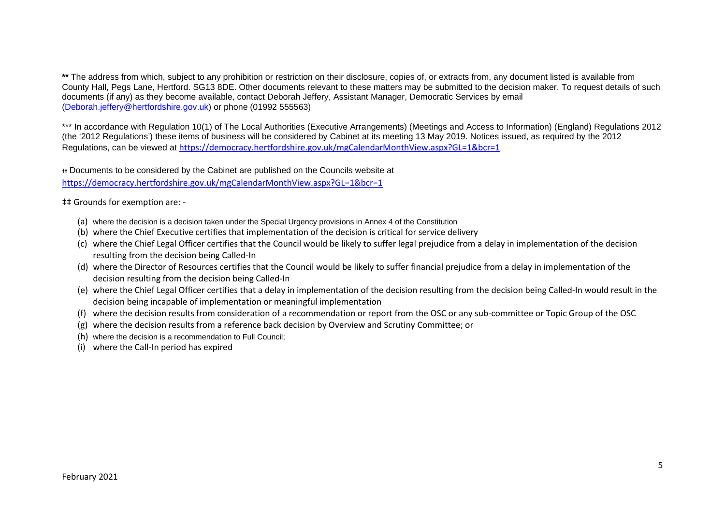**\*\*** The address from which, subject to any prohibition or restriction on their disclosure, copies of, or extracts from, any document listed is available from County Hall, Pegs Lane, Hertford. SG13 8DE. Other documents relevant to these matters may be submitted to the decision maker. To request details of such documents (if any) as they become available, contact Deborah Jeffery, Assistant Manager, Democratic Services by email (Deborah.jeffery@hertfordshire.gov.uk) or phone (01992 555563)

\*\*\* In accordance with Regulation 10(1) of The Local Authorities (Executive Arrangements) (Meetings and Access to Information) (England) Regulations 2012 (the '2012 Regulations') these items of business will be considered by Cabinet at its meeting 13 May 2019. Notices issued, as required by the 2012 Regulations, can be viewed at https://democracy.hertfordshire.gov.uk/mgCalendarMonthView.aspx?GL=1&bcr=1

ᵻᵻ Documents to be considered by the Cabinet are published on the Councils website at https://democracy.hertfordshire.gov.uk/mgCalendarMonthView.aspx?GL=1&bcr=1

 $\ddagger$ ‡ Grounds for exemption are: -

- (a) where the decision is a decision taken under the Special Urgency provisions in Annex 4 of the Constitution
- (b) where the Chief Executive certifies that implementation of the decision is critical for service delivery
- (c) where the Chief Legal Officer certifies that the Council would be likely to suffer legal prejudice from a delay in implementation of the decision resulting from the decision being Called-In
- (d) where the Director of Resources certifies that the Council would be likely to suffer financial prejudice from a delay in implementation of the decision resulting from the decision being Called-In
- (e) where the Chief Legal Officer certifies that a delay in implementation of the decision resulting from the decision being Called-In would result in the decision being incapable of implementation or meaningful implementation
- (f) where the decision results from consideration of a recommendation or report from the OSC or any sub-committee or Topic Group of the OSC
- (g) where the decision results from a reference back decision by Overview and Scrutiny Committee; or
- (h) where the decision is a recommendation to Full Council;
- (i) where the Call-In period has expired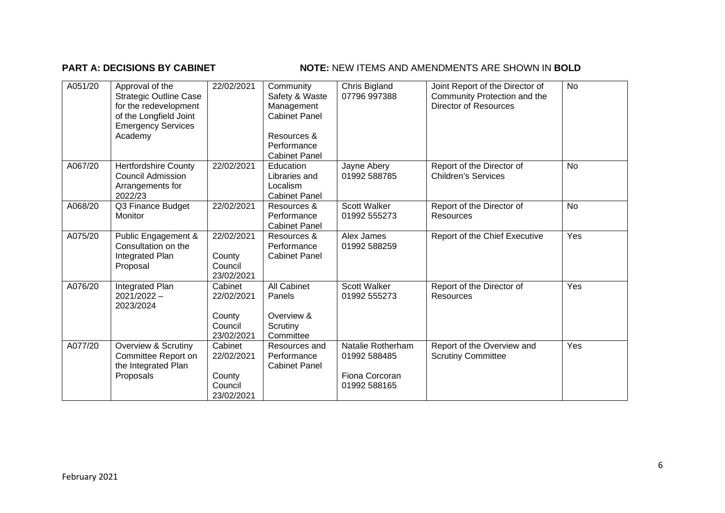## **PART A: DECISIONS BY CABINET NOTE:** NEW ITEMS AND AMENDMENTS ARE SHOWN IN BOLD

| A051/20 | Approval of the<br><b>Strategic Outline Case</b><br>for the redevelopment<br>of the Longfield Joint<br><b>Emergency Services</b><br>Academy | 22/02/2021                                               | Community<br>Safety & Waste<br>Management<br><b>Cabinet Panel</b><br>Resources &<br>Performance<br><b>Cabinet Panel</b> | Chris Bigland<br>07796 997388                                       | Joint Report of the Director of<br>Community Protection and the<br>Director of Resources | <b>No</b> |
|---------|---------------------------------------------------------------------------------------------------------------------------------------------|----------------------------------------------------------|-------------------------------------------------------------------------------------------------------------------------|---------------------------------------------------------------------|------------------------------------------------------------------------------------------|-----------|
| A067/20 | <b>Hertfordshire County</b><br><b>Council Admission</b><br>Arrangements for<br>2022/23                                                      | 22/02/2021                                               | Education<br>Libraries and<br>Localism<br><b>Cabinet Panel</b>                                                          | Jayne Abery<br>01992 588785                                         | Report of the Director of<br><b>Children's Services</b>                                  | <b>No</b> |
| A068/20 | Q3 Finance Budget<br>Monitor                                                                                                                | 22/02/2021                                               | Resources &<br>Performance<br><b>Cabinet Panel</b>                                                                      | <b>Scott Walker</b><br>01992 555273                                 | Report of the Director of<br><b>Resources</b>                                            | <b>No</b> |
| A075/20 | Public Engagement &<br>Consultation on the<br>Integrated Plan<br>Proposal                                                                   | 22/02/2021<br>County<br>Council<br>23/02/2021            | Resources &<br>Performance<br><b>Cabinet Panel</b>                                                                      | Alex James<br>01992 588259                                          | Report of the Chief Executive                                                            | Yes       |
| A076/20 | Integrated Plan<br>$2021/2022 -$<br>2023/2024                                                                                               | Cabinet<br>22/02/2021<br>County<br>Council<br>23/02/2021 | <b>All Cabinet</b><br>Panels<br>Overview &<br>Scrutiny<br>Committee                                                     | <b>Scott Walker</b><br>01992 555273                                 | Report of the Director of<br>Resources                                                   | Yes       |
| A077/20 | Overview & Scrutiny<br>Committee Report on<br>the Integrated Plan<br>Proposals                                                              | Cabinet<br>22/02/2021<br>County<br>Council<br>23/02/2021 | Resources and<br>Performance<br><b>Cabinet Panel</b>                                                                    | Natalie Rotherham<br>01992 588485<br>Fiona Corcoran<br>01992 588165 | Report of the Overview and<br><b>Scrutiny Committee</b>                                  | Yes       |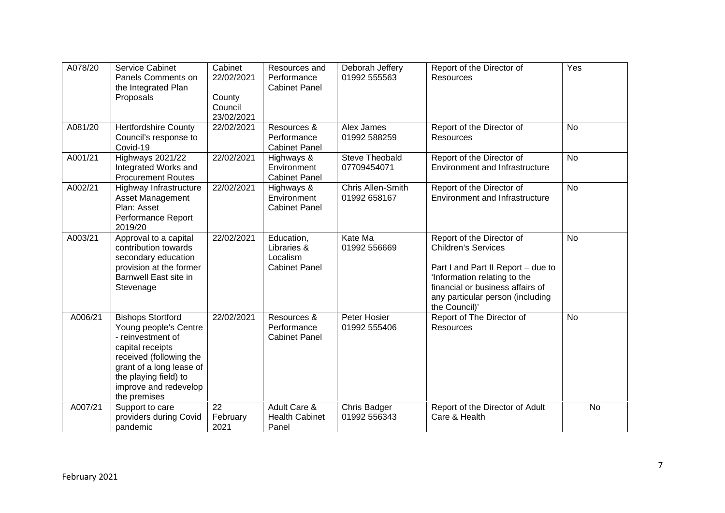| A078/20 | <b>Service Cabinet</b><br>Panels Comments on<br>the Integrated Plan<br>Proposals                                                                                                                                    | Cabinet<br>22/02/2021<br>County<br>Council<br>23/02/2021 | Resources and<br>Performance<br><b>Cabinet Panel</b>          | Deborah Jeffery<br>01992 555563      | Report of the Director of<br>Resources                                                                                                                                                                                 | Yes       |
|---------|---------------------------------------------------------------------------------------------------------------------------------------------------------------------------------------------------------------------|----------------------------------------------------------|---------------------------------------------------------------|--------------------------------------|------------------------------------------------------------------------------------------------------------------------------------------------------------------------------------------------------------------------|-----------|
| A081/20 | <b>Hertfordshire County</b><br>Council's response to<br>Covid-19                                                                                                                                                    | 22/02/2021                                               | Resources &<br>Performance<br><b>Cabinet Panel</b>            | Alex James<br>01992 588259           | Report of the Director of<br><b>Resources</b>                                                                                                                                                                          | <b>No</b> |
| A001/21 | Highways 2021/22<br>Integrated Works and<br><b>Procurement Routes</b>                                                                                                                                               | 22/02/2021                                               | Highways &<br>Environment<br><b>Cabinet Panel</b>             | <b>Steve Theobald</b><br>07709454071 | Report of the Director of<br><b>Environment and Infrastructure</b>                                                                                                                                                     | <b>No</b> |
| A002/21 | Highway Infrastructure<br>Asset Management<br>Plan: Asset<br>Performance Report<br>2019/20                                                                                                                          | 22/02/2021                                               | Highways &<br>Environment<br><b>Cabinet Panel</b>             | Chris Allen-Smith<br>01992 658167    | Report of the Director of<br><b>Environment and Infrastructure</b>                                                                                                                                                     | <b>No</b> |
| A003/21 | Approval to a capital<br>contribution towards<br>secondary education<br>provision at the former<br>Barnwell East site in<br>Stevenage                                                                               | 22/02/2021                                               | Education,<br>Libraries &<br>Localism<br><b>Cabinet Panel</b> | Kate Ma<br>01992 556669              | Report of the Director of<br><b>Children's Services</b><br>Part I and Part II Report - due to<br>'Information relating to the<br>financial or business affairs of<br>any particular person (including<br>the Council)' | No        |
| A006/21 | <b>Bishops Stortford</b><br>Young people's Centre<br>- reinvestment of<br>capital receipts<br>received (following the<br>grant of a long lease of<br>the playing field) to<br>improve and redevelop<br>the premises | 22/02/2021                                               | Resources &<br>Performance<br><b>Cabinet Panel</b>            | Peter Hosier<br>01992 555406         | Report of The Director of<br><b>Resources</b>                                                                                                                                                                          | No        |
| A007/21 | Support to care<br>providers during Covid<br>pandemic                                                                                                                                                               | 22<br>February<br>2021                                   | Adult Care &<br><b>Health Cabinet</b><br>Panel                | Chris Badger<br>01992 556343         | Report of the Director of Adult<br>Care & Health                                                                                                                                                                       | <b>No</b> |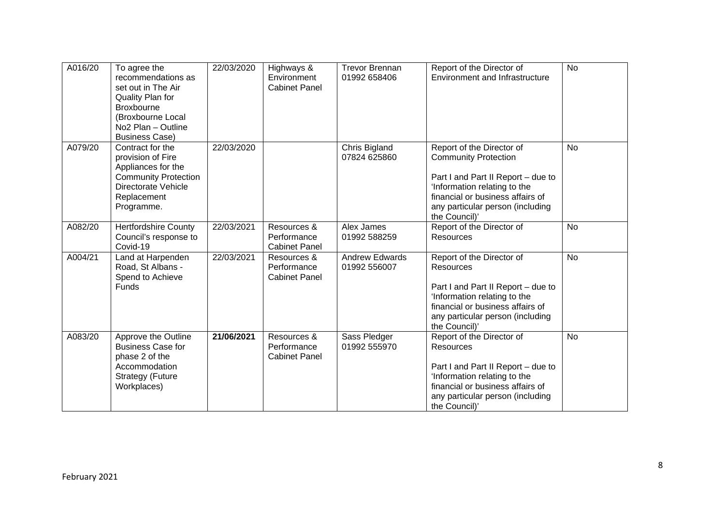| A016/20 | To agree the<br>recommendations as<br>set out in The Air<br>Quality Plan for<br>Broxbourne<br>(Broxbourne Local<br>No <sub>2</sub> Plan - Outline<br><b>Business Case)</b> | 22/03/2020 | Highways &<br>Environment<br><b>Cabinet Panel</b>  | <b>Trevor Brennan</b><br>01992 658406 | Report of the Director of<br><b>Environment and Infrastructure</b>                                                                                                                                                      | <b>No</b> |
|---------|----------------------------------------------------------------------------------------------------------------------------------------------------------------------------|------------|----------------------------------------------------|---------------------------------------|-------------------------------------------------------------------------------------------------------------------------------------------------------------------------------------------------------------------------|-----------|
| A079/20 | Contract for the<br>provision of Fire<br>Appliances for the<br><b>Community Protection</b><br>Directorate Vehicle<br>Replacement<br>Programme.                             | 22/03/2020 |                                                    | Chris Bigland<br>07824 625860         | Report of the Director of<br><b>Community Protection</b><br>Part I and Part II Report - due to<br>'Information relating to the<br>financial or business affairs of<br>any particular person (including<br>the Council)' | No        |
| A082/20 | <b>Hertfordshire County</b><br>Council's response to<br>Covid-19                                                                                                           | 22/03/2021 | Resources &<br>Performance<br><b>Cabinet Panel</b> | Alex James<br>01992 588259            | Report of the Director of<br><b>Resources</b>                                                                                                                                                                           | <b>No</b> |
| A004/21 | Land at Harpenden<br>Road, St Albans -<br>Spend to Achieve<br><b>Funds</b>                                                                                                 | 22/03/2021 | Resources &<br>Performance<br><b>Cabinet Panel</b> | <b>Andrew Edwards</b><br>01992 556007 | Report of the Director of<br><b>Resources</b><br>Part I and Part II Report - due to<br>'Information relating to the<br>financial or business affairs of<br>any particular person (including<br>the Council)'            | <b>No</b> |
| A083/20 | Approve the Outline<br><b>Business Case for</b><br>phase 2 of the<br>Accommodation<br><b>Strategy (Future</b><br>Workplaces)                                               | 21/06/2021 | Resources &<br>Performance<br><b>Cabinet Panel</b> | Sass Pledger<br>01992 555970          | Report of the Director of<br><b>Resources</b><br>Part I and Part II Report - due to<br>'Information relating to the<br>financial or business affairs of<br>any particular person (including<br>the Council)'            | <b>No</b> |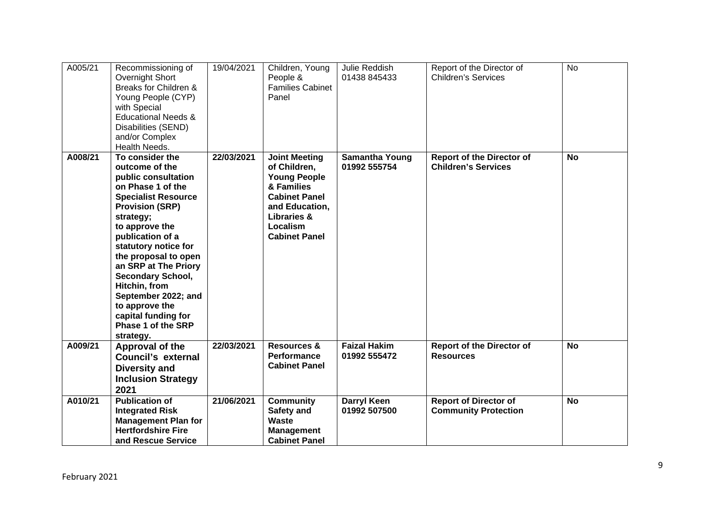| A005/21 | Recommissioning of<br>Overnight Short<br>Breaks for Children &<br>Young People (CYP)<br>with Special<br><b>Educational Needs &amp;</b><br>Disabilities (SEND)<br>and/or Complex<br>Health Needs.                                                                                                                                                                                                                 | 19/04/2021 | Children, Young<br>People &<br><b>Families Cabinet</b><br>Panel                                                                                                                   | Julie Reddish<br>01438 845433         | Report of the Director of<br><b>Children's Services</b>        | <b>No</b> |
|---------|------------------------------------------------------------------------------------------------------------------------------------------------------------------------------------------------------------------------------------------------------------------------------------------------------------------------------------------------------------------------------------------------------------------|------------|-----------------------------------------------------------------------------------------------------------------------------------------------------------------------------------|---------------------------------------|----------------------------------------------------------------|-----------|
| A008/21 | To consider the<br>outcome of the<br>public consultation<br>on Phase 1 of the<br><b>Specialist Resource</b><br><b>Provision (SRP)</b><br>strategy;<br>to approve the<br>publication of a<br>statutory notice for<br>the proposal to open<br>an SRP at The Priory<br><b>Secondary School,</b><br>Hitchin, from<br>September 2022; and<br>to approve the<br>capital funding for<br>Phase 1 of the SRP<br>strategy. | 22/03/2021 | <b>Joint Meeting</b><br>of Children,<br><b>Young People</b><br>& Families<br><b>Cabinet Panel</b><br>and Education,<br><b>Libraries &amp;</b><br>Localism<br><b>Cabinet Panel</b> | <b>Samantha Young</b><br>01992 555754 | <b>Report of the Director of</b><br><b>Children's Services</b> | <b>No</b> |
| A009/21 | Approval of the<br>Council's external<br><b>Diversity and</b><br><b>Inclusion Strategy</b><br>2021                                                                                                                                                                                                                                                                                                               | 22/03/2021 | <b>Resources &amp;</b><br>Performance<br><b>Cabinet Panel</b>                                                                                                                     | <b>Faizal Hakim</b><br>01992 555472   | <b>Report of the Director of</b><br><b>Resources</b>           | <b>No</b> |
| A010/21 | <b>Publication of</b><br><b>Integrated Risk</b><br><b>Management Plan for</b><br><b>Hertfordshire Fire</b><br>and Rescue Service                                                                                                                                                                                                                                                                                 | 21/06/2021 | <b>Community</b><br>Safety and<br><b>Waste</b><br><b>Management</b><br><b>Cabinet Panel</b>                                                                                       | <b>Darryl Keen</b><br>01992 507500    | <b>Report of Director of</b><br><b>Community Protection</b>    | <b>No</b> |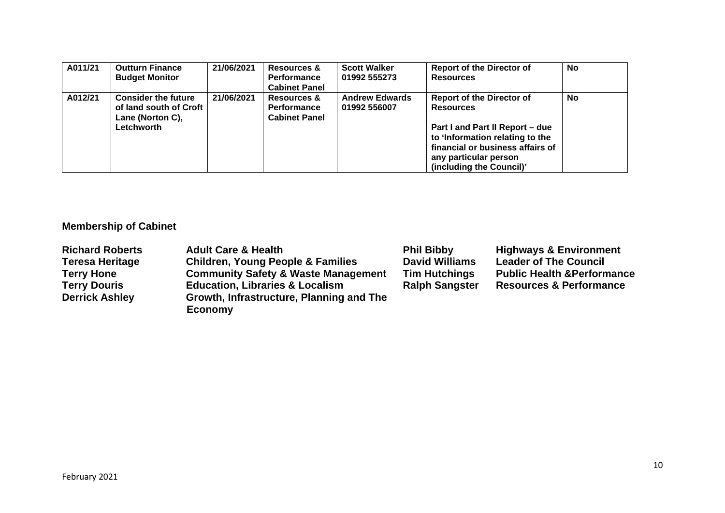| A011/21 | <b>Outturn Finance</b><br><b>Budget Monitor</b>                                        | 21/06/2021 | Resources &<br><b>Performance</b><br><b>Cabinet Panel</b> | <b>Scott Walker</b><br>01992 555273   | <b>Report of the Director of</b><br><b>Resources</b>                                                                                                                                                                | <b>No</b> |
|---------|----------------------------------------------------------------------------------------|------------|-----------------------------------------------------------|---------------------------------------|---------------------------------------------------------------------------------------------------------------------------------------------------------------------------------------------------------------------|-----------|
| A012/21 | <b>Consider the future</b><br>of land south of Croft<br>Lane (Norton C),<br>Letchworth | 21/06/2021 | Resources &<br><b>Performance</b><br><b>Cabinet Panel</b> | <b>Andrew Edwards</b><br>01992 556007 | <b>Report of the Director of</b><br><b>Resources</b><br>Part I and Part II Report - due<br>to 'Information relating to the<br>financial or business affairs of<br>any particular person<br>(including the Council)' | No        |

# **Membership of Cabinet**

| <b>Richard Roberts</b> | <b>Adult Care &amp; Health</b>                 | <b>Phil Bibby</b>     | <b>Highways &amp; Environment</b>      |
|------------------------|------------------------------------------------|-----------------------|----------------------------------------|
| <b>Teresa Heritage</b> | <b>Children, Young People &amp; Families</b>   | <b>David Williams</b> | <b>Leader of The Council</b>           |
| <b>Terry Hone</b>      | <b>Community Safety &amp; Waste Management</b> | <b>Tim Hutchings</b>  | <b>Public Health &amp; Performance</b> |
| <b>Terry Douris</b>    | <b>Education, Libraries &amp; Localism</b>     | <b>Ralph Sangster</b> | <b>Resources &amp; Performance</b>     |
| <b>Derrick Ashley</b>  | Growth, Infrastructure, Planning and The       |                       |                                        |
|                        | <b>Economy</b>                                 |                       |                                        |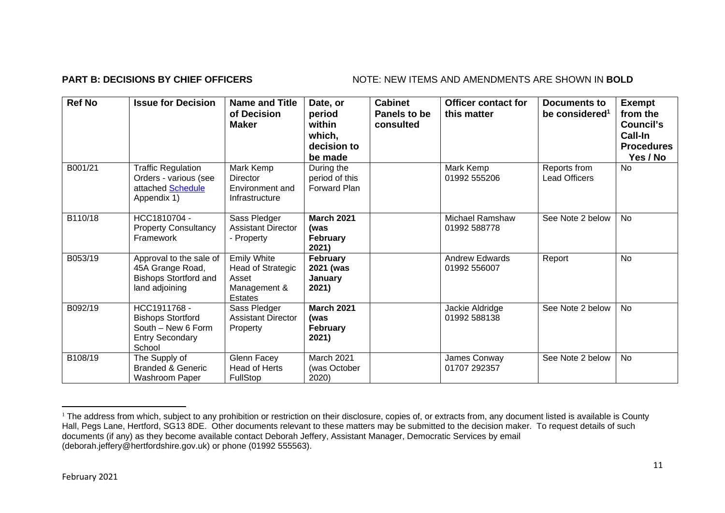## **PART B: DECISIONS BY CHIEF OFFICERS** NOTE: NEW ITEMS AND AMENDMENTS ARE SHOWN IN BOLD

| <b>Ref No</b> | <b>Issue for Decision</b>                                                                          | <b>Name and Title</b><br>of Decision<br><b>Maker</b>                               | Date, or<br>period<br>within<br>which,<br>decision to<br>be made | <b>Cabinet</b><br>Panels to be<br>consulted | <b>Officer contact for</b><br>this matter | Documents to<br>be considered <sup>1</sup> | <b>Exempt</b><br>from the<br>Council's<br>Call-In<br><b>Procedures</b><br>Yes / No |
|---------------|----------------------------------------------------------------------------------------------------|------------------------------------------------------------------------------------|------------------------------------------------------------------|---------------------------------------------|-------------------------------------------|--------------------------------------------|------------------------------------------------------------------------------------|
| B001/21       | <b>Traffic Regulation</b><br>Orders - various (see<br>attached Schedule<br>Appendix 1)             | Mark Kemp<br>Director<br>Environment and<br>Infrastructure                         | During the<br>period of this<br><b>Forward Plan</b>              |                                             | Mark Kemp<br>01992 555206                 | Reports from<br><b>Lead Officers</b>       | No                                                                                 |
| B110/18       | HCC1810704 -<br><b>Property Consultancy</b><br>Framework                                           | Sass Pledger<br><b>Assistant Director</b><br>- Property                            | <b>March 2021</b><br>(was<br><b>February</b><br>2021)            |                                             | Michael Ramshaw<br>01992 588778           | See Note 2 below                           | <b>No</b>                                                                          |
| B053/19       | Approval to the sale of<br>45A Grange Road,<br><b>Bishops Stortford and</b><br>land adjoining      | <b>Emily White</b><br><b>Head of Strategic</b><br>Asset<br>Management &<br>Estates | February<br>2021 (was<br>January<br>2021)                        |                                             | <b>Andrew Edwards</b><br>01992 556007     | Report                                     | No                                                                                 |
| B092/19       | HCC1911768 -<br><b>Bishops Stortford</b><br>South - New 6 Form<br><b>Entry Secondary</b><br>School | Sass Pledger<br><b>Assistant Director</b><br>Property                              | <b>March 2021</b><br>(was<br><b>February</b><br>2021)            |                                             | Jackie Aldridge<br>01992 588138           | See Note 2 below                           | No                                                                                 |
| B108/19       | The Supply of<br><b>Branded &amp; Generic</b><br>Washroom Paper                                    | Glenn Facey<br>Head of Herts<br><b>FullStop</b>                                    | March 2021<br>(was October<br>2020)                              |                                             | James Conway<br>01707 292357              | See Note 2 below                           | <b>No</b>                                                                          |

<sup>&</sup>lt;sup>1</sup> The address from which, subject to any prohibition or restriction on their disclosure, copies of, or extracts from, any document listed is available is County Hall, Pegs Lane, Hertford, SG13 8DE. Other documents relevant to these matters may be submitted to the decision maker. To request details of such documents (if any) as they become available contact Deborah Jeffery, Assistant Manager, Democratic Services by email (deborah.jeffery@hertfordshire.gov.uk) or phone (01992 555563).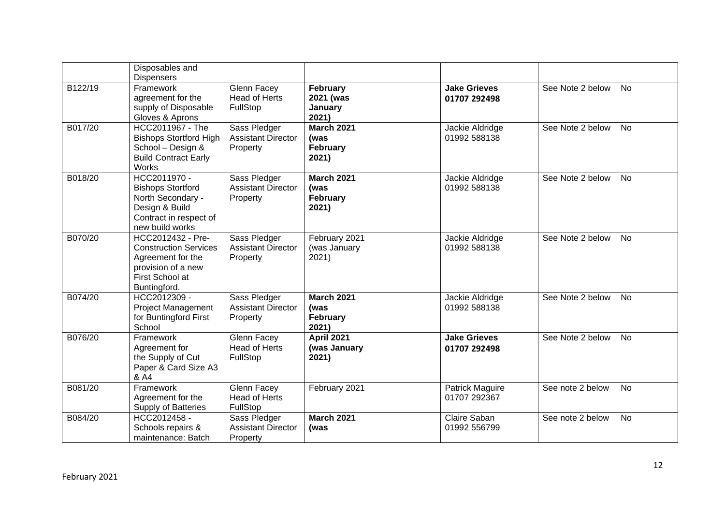|         | Disposables and<br><b>Dispensers</b>                                                                                            |                                                       |                                                       |                                     |                 |                  |           |
|---------|---------------------------------------------------------------------------------------------------------------------------------|-------------------------------------------------------|-------------------------------------------------------|-------------------------------------|-----------------|------------------|-----------|
| B122/19 | Framework<br>agreement for the<br>supply of Disposable<br>Gloves & Aprons                                                       | Glenn Facey<br><b>Head of Herts</b><br>FullStop       | February<br>2021 (was<br>January<br>2021)             | <b>Jake Grieves</b><br>01707 292498 |                 | See Note 2 below | <b>No</b> |
| B017/20 | HCC2011967 - The<br><b>Bishops Stortford High</b><br>School - Design &<br><b>Build Contract Early</b><br>Works                  | Sass Pledger<br><b>Assistant Director</b><br>Property | <b>March 2021</b><br>(was<br><b>February</b><br>2021) | 01992 588138                        | Jackie Aldridge | See Note 2 below | <b>No</b> |
| B018/20 | HCC2011970 -<br><b>Bishops Stortford</b><br>North Secondary -<br>Design & Build<br>Contract in respect of<br>new build works    | Sass Pledger<br><b>Assistant Director</b><br>Property | <b>March 2021</b><br>(was<br>February<br>2021)        | 01992 588138                        | Jackie Aldridge | See Note 2 below | <b>No</b> |
| B070/20 | HCC2012432 - Pre-<br><b>Construction Services</b><br>Agreement for the<br>provision of a new<br>First School at<br>Buntingford. | Sass Pledger<br><b>Assistant Director</b><br>Property | February 2021<br>(was January<br>2021)                | 01992 588138                        | Jackie Aldridge | See Note 2 below | <b>No</b> |
| B074/20 | HCC2012309 -<br><b>Project Management</b><br>for Buntingford First<br>School                                                    | Sass Pledger<br><b>Assistant Director</b><br>Property | <b>March 2021</b><br>(was<br><b>February</b><br>2021) | 01992 588138                        | Jackie Aldridge | See Note 2 below | <b>No</b> |
| B076/20 | Framework<br>Agreement for<br>the Supply of Cut<br>Paper & Card Size A3<br>& A4                                                 | Glenn Facey<br><b>Head of Herts</b><br>FullStop       | <b>April 2021</b><br>(was January<br>2021)            | <b>Jake Grieves</b><br>01707 292498 |                 | See Note 2 below | <b>No</b> |
| B081/20 | Framework<br>Agreement for the<br>Supply of Batteries                                                                           | Glenn Facey<br><b>Head of Herts</b><br>FullStop       | February 2021                                         | 01707 292367                        | Patrick Maguire | See note 2 below | <b>No</b> |
| B084/20 | HCC2012458-<br>Schools repairs &<br>maintenance: Batch                                                                          | Sass Pledger<br><b>Assistant Director</b><br>Property | <b>March 2021</b><br>(was                             | Claire Saban<br>01992 556799        |                 | See note 2 below | <b>No</b> |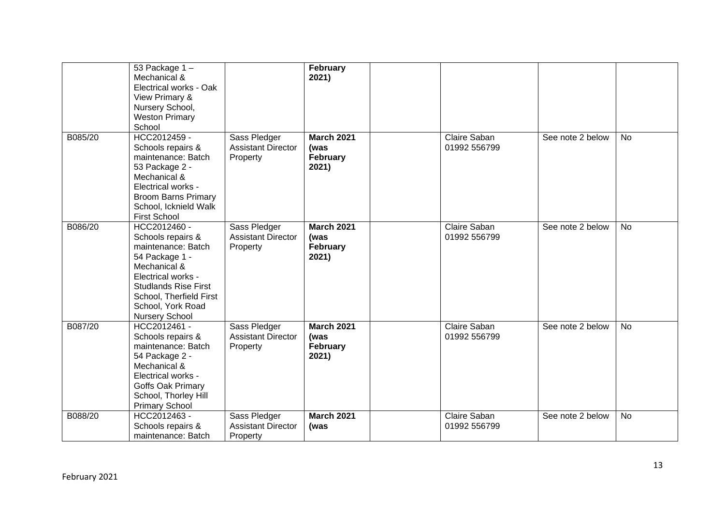|         | 53 Package 1-<br>Mechanical &<br>Electrical works - Oak<br>View Primary &<br>Nursery School,<br><b>Weston Primary</b><br>School                                                                                         |                                                       | February<br>2021)                              |                              |                  |           |
|---------|-------------------------------------------------------------------------------------------------------------------------------------------------------------------------------------------------------------------------|-------------------------------------------------------|------------------------------------------------|------------------------------|------------------|-----------|
| B085/20 | HCC2012459 -<br>Schools repairs &<br>maintenance: Batch<br>53 Package 2 -<br>Mechanical &<br>Electrical works -<br><b>Broom Barns Primary</b><br>School, Icknield Walk<br><b>First School</b>                           | Sass Pledger<br><b>Assistant Director</b><br>Property | <b>March 2021</b><br>(was<br>February<br>2021) | Claire Saban<br>01992 556799 | See note 2 below | No        |
| B086/20 | HCC2012460 -<br>Schools repairs &<br>maintenance: Batch<br>54 Package 1 -<br>Mechanical &<br>Electrical works -<br><b>Studlands Rise First</b><br>School, Therfield First<br>School, York Road<br><b>Nursery School</b> | Sass Pledger<br><b>Assistant Director</b><br>Property | <b>March 2021</b><br>(was<br>February<br>2021) | Claire Saban<br>01992 556799 | See note 2 below | <b>No</b> |
| B087/20 | HCC2012461 -<br>Schools repairs &<br>maintenance: Batch<br>54 Package 2 -<br>Mechanical &<br>Electrical works -<br>Goffs Oak Primary<br>School, Thorley Hill<br><b>Primary School</b>                                   | Sass Pledger<br><b>Assistant Director</b><br>Property | <b>March 2021</b><br>(was<br>February<br>2021) | Claire Saban<br>01992 556799 | See note 2 below | <b>No</b> |
| B088/20 | HCC2012463 -<br>Schools repairs &<br>maintenance: Batch                                                                                                                                                                 | Sass Pledger<br><b>Assistant Director</b><br>Property | <b>March 2021</b><br>(was                      | Claire Saban<br>01992 556799 | See note 2 below | No        |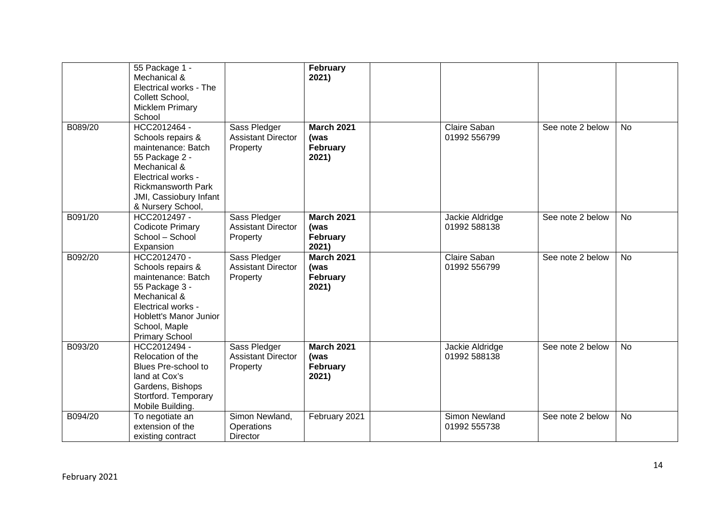|         | 55 Package 1 -<br>Mechanical &<br>Electrical works - The<br>Collett School,<br><b>Micklem Primary</b><br>School                                                                             |                                                       | February<br>2021)                              |                                 |                  |           |
|---------|---------------------------------------------------------------------------------------------------------------------------------------------------------------------------------------------|-------------------------------------------------------|------------------------------------------------|---------------------------------|------------------|-----------|
| B089/20 | HCC2012464 -<br>Schools repairs &<br>maintenance: Batch<br>55 Package 2 -<br>Mechanical &<br>Electrical works -<br><b>Rickmansworth Park</b><br>JMI, Cassiobury Infant<br>& Nursery School, | Sass Pledger<br><b>Assistant Director</b><br>Property | <b>March 2021</b><br>(was<br>February<br>2021) | Claire Saban<br>01992 556799    | See note 2 below | No        |
| B091/20 | HCC2012497 -<br><b>Codicote Primary</b><br>School - School<br>Expansion                                                                                                                     | Sass Pledger<br><b>Assistant Director</b><br>Property | <b>March 2021</b><br>(was<br>February<br>2021) | Jackie Aldridge<br>01992 588138 | See note 2 below | <b>No</b> |
| B092/20 | HCC2012470 -<br>Schools repairs &<br>maintenance: Batch<br>55 Package 3 -<br>Mechanical &<br>Electrical works -<br>Hoblett's Manor Junior<br>School, Maple<br><b>Primary School</b>         | Sass Pledger<br><b>Assistant Director</b><br>Property | <b>March 2021</b><br>(was<br>February<br>2021) | Claire Saban<br>01992 556799    | See note 2 below | <b>No</b> |
| B093/20 | HCC2012494 -<br>Relocation of the<br>Blues Pre-school to<br>land at Cox's<br>Gardens, Bishops<br>Stortford. Temporary<br>Mobile Building.                                                   | Sass Pledger<br><b>Assistant Director</b><br>Property | <b>March 2021</b><br>(was<br>February<br>2021) | Jackie Aldridge<br>01992 588138 | See note 2 below | <b>No</b> |
| B094/20 | To negotiate an<br>extension of the<br>existing contract                                                                                                                                    | Simon Newland,<br>Operations<br>Director              | February 2021                                  | Simon Newland<br>01992 555738   | See note 2 below | <b>No</b> |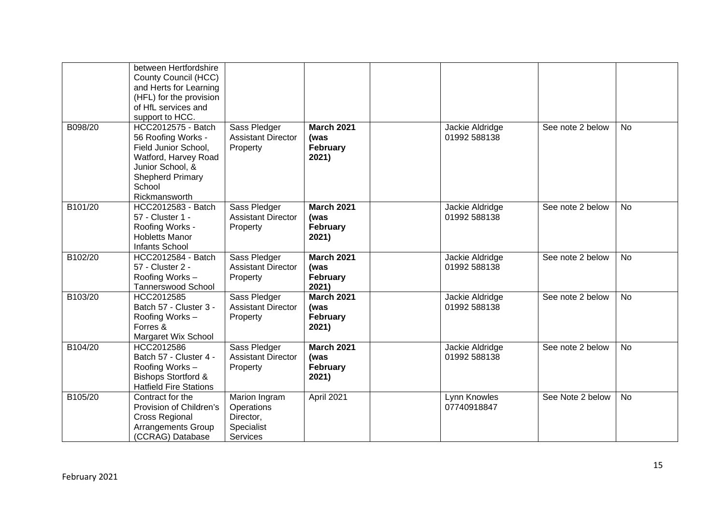|         | between Hertfordshire<br>County Council (HCC)<br>and Herts for Learning<br>(HFL) for the provision<br>of HfL services and<br>support to HCC.                       |                                                                           |                                                |                                 |                  |           |
|---------|--------------------------------------------------------------------------------------------------------------------------------------------------------------------|---------------------------------------------------------------------------|------------------------------------------------|---------------------------------|------------------|-----------|
| B098/20 | HCC2012575 - Batch<br>56 Roofing Works -<br>Field Junior School,<br>Watford, Harvey Road<br>Junior School, &<br><b>Shepherd Primary</b><br>School<br>Rickmansworth | Sass Pledger<br><b>Assistant Director</b><br>Property                     | <b>March 2021</b><br>(was<br>February<br>2021) | Jackie Aldridge<br>01992 588138 | See note 2 below | No        |
| B101/20 | HCC2012583 - Batch<br>57 - Cluster 1 -<br>Roofing Works -<br><b>Hobletts Manor</b><br>Infants School                                                               | Sass Pledger<br><b>Assistant Director</b><br>Property                     | <b>March 2021</b><br>(was<br>February<br>2021) | Jackie Aldridge<br>01992 588138 | See note 2 below | <b>No</b> |
| B102/20 | HCC2012584 - Batch<br>57 - Cluster 2 -<br>Roofing Works-<br><b>Tannerswood School</b>                                                                              | Sass Pledger<br><b>Assistant Director</b><br>Property                     | <b>March 2021</b><br>(was<br>February<br>2021) | Jackie Aldridge<br>01992 588138 | See note 2 below | <b>No</b> |
| B103/20 | HCC2012585<br>Batch 57 - Cluster 3 -<br>Roofing Works-<br>Forres &<br>Margaret Wix School                                                                          | Sass Pledger<br><b>Assistant Director</b><br>Property                     | <b>March 2021</b><br>(was<br>February<br>2021) | Jackie Aldridge<br>01992 588138 | See note 2 below | <b>No</b> |
| B104/20 | HCC2012586<br>Batch 57 - Cluster 4 -<br>Roofing Works-<br><b>Bishops Stortford &amp;</b><br><b>Hatfield Fire Stations</b>                                          | Sass Pledger<br><b>Assistant Director</b><br>Property                     | <b>March 2021</b><br>(was<br>February<br>2021) | Jackie Aldridge<br>01992 588138 | See note 2 below | <b>No</b> |
| B105/20 | Contract for the<br>Provision of Children's<br><b>Cross Regional</b><br><b>Arrangements Group</b><br>(CCRAG) Database                                              | Marion Ingram<br>Operations<br>Director,<br>Specialist<br><b>Services</b> | April 2021                                     | Lynn Knowles<br>07740918847     | See Note 2 below | <b>No</b> |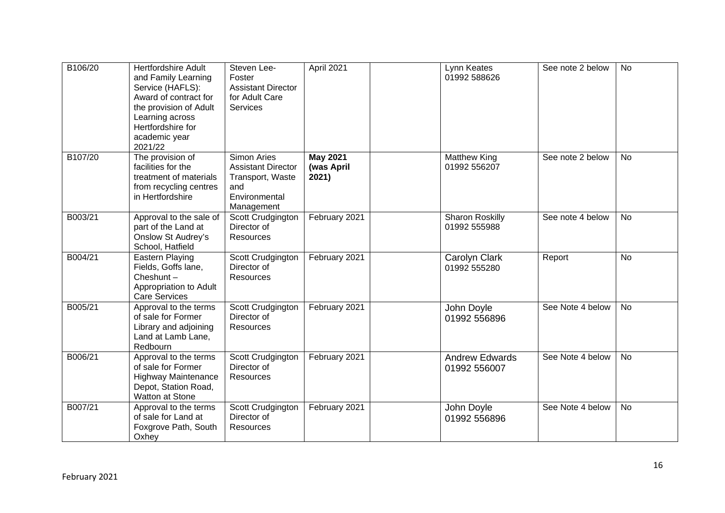| B106/20 | <b>Hertfordshire Adult</b><br>and Family Learning<br>Service (HAFLS):<br>Award of contract for<br>the provision of Adult<br>Learning across<br>Hertfordshire for<br>academic year<br>2021/22 | Steven Lee-<br>Foster<br><b>Assistant Director</b><br>for Adult Care<br><b>Services</b>                   | April 2021                             | Lynn Keates<br>01992 588626            | See note 2 below | <b>No</b> |
|---------|----------------------------------------------------------------------------------------------------------------------------------------------------------------------------------------------|-----------------------------------------------------------------------------------------------------------|----------------------------------------|----------------------------------------|------------------|-----------|
| B107/20 | The provision of<br>facilities for the<br>treatment of materials<br>from recycling centres<br>in Hertfordshire                                                                               | <b>Simon Aries</b><br><b>Assistant Director</b><br>Transport, Waste<br>and<br>Environmental<br>Management | <b>May 2021</b><br>(was April<br>2021) | <b>Matthew King</b><br>01992 556207    | See note 2 below | <b>No</b> |
| B003/21 | Approval to the sale of<br>part of the Land at<br><b>Onslow St Audrey's</b><br>School, Hatfield                                                                                              | Scott Crudgington<br>Director of<br>Resources                                                             | February 2021                          | <b>Sharon Roskilly</b><br>01992 555988 | See note 4 below | <b>No</b> |
| B004/21 | Eastern Playing<br>Fields, Goffs lane,<br>Cheshunt $-$<br>Appropriation to Adult<br>Care Services                                                                                            | Scott Crudgington<br>Director of<br><b>Resources</b>                                                      | February 2021                          | Carolyn Clark<br>01992 555280          | Report           | <b>No</b> |
| B005/21 | Approval to the terms<br>of sale for Former<br>Library and adjoining<br>Land at Lamb Lane,<br>Redbourn                                                                                       | Scott Crudgington<br>Director of<br>Resources                                                             | February 2021                          | John Doyle<br>01992 556896             | See Note 4 below | <b>No</b> |
| B006/21 | Approval to the terms<br>of sale for Former<br><b>Highway Maintenance</b><br>Depot, Station Road,<br><b>Watton at Stone</b>                                                                  | Scott Crudgington<br>Director of<br><b>Resources</b>                                                      | February 2021                          | <b>Andrew Edwards</b><br>01992 556007  | See Note 4 below | <b>No</b> |
| B007/21 | Approval to the terms<br>of sale for Land at<br>Foxgrove Path, South<br>Oxhey                                                                                                                | Scott Crudgington<br>Director of<br><b>Resources</b>                                                      | February 2021                          | John Doyle<br>01992 556896             | See Note 4 below | <b>No</b> |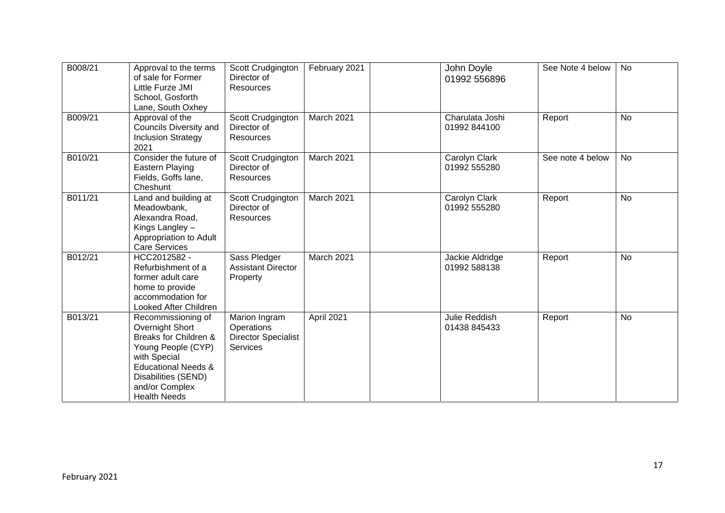| B008/21 | Approval to the terms<br>of sale for Former<br>Little Furze JMI<br>School, Gosforth<br>Lane, South Oxhey                                                                                               | Scott Crudgington<br>Director of<br>Resources                                | February 2021 | John Doyle<br>01992 556896      | See Note 4 below | <b>No</b> |
|---------|--------------------------------------------------------------------------------------------------------------------------------------------------------------------------------------------------------|------------------------------------------------------------------------------|---------------|---------------------------------|------------------|-----------|
| B009/21 | Approval of the<br>Councils Diversity and<br><b>Inclusion Strategy</b><br>2021                                                                                                                         | Scott Crudgington<br>Director of<br>Resources                                | March 2021    | Charulata Joshi<br>01992 844100 | Report           | <b>No</b> |
| B010/21 | Consider the future of<br>Eastern Playing<br>Fields, Goffs lane,<br>Cheshunt                                                                                                                           | Scott Crudgington<br>Director of<br>Resources                                | March 2021    | Carolyn Clark<br>01992 555280   | See note 4 below | <b>No</b> |
| B011/21 | Land and building at<br>Meadowbank,<br>Alexandra Road,<br>Kings Langley -<br>Appropriation to Adult<br><b>Care Services</b>                                                                            | Scott Crudgington<br>Director of<br>Resources                                | March 2021    | Carolyn Clark<br>01992 555280   | Report           | No        |
| B012/21 | HCC2012582 -<br>Refurbishment of a<br>former adult care<br>home to provide<br>accommodation for<br>Looked After Children                                                                               | Sass Pledger<br><b>Assistant Director</b><br>Property                        | March 2021    | Jackie Aldridge<br>01992 588138 | Report           | <b>No</b> |
| B013/21 | Recommissioning of<br>Overnight Short<br>Breaks for Children &<br>Young People (CYP)<br>with Special<br><b>Educational Needs &amp;</b><br>Disabilities (SEND)<br>and/or Complex<br><b>Health Needs</b> | Marion Ingram<br>Operations<br><b>Director Specialist</b><br><b>Services</b> | April 2021    | Julie Reddish<br>01438 845433   | Report           | No        |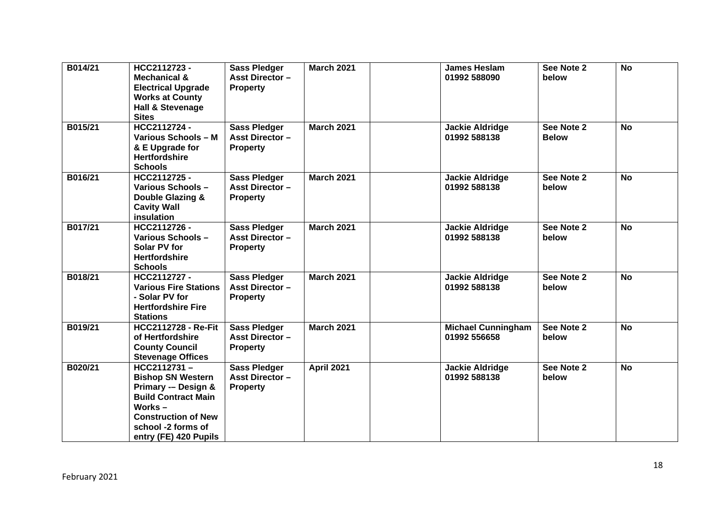| B014/21 | HCC2112723-<br><b>Mechanical &amp;</b><br><b>Electrical Upgrade</b><br><b>Works at County</b><br><b>Hall &amp; Stevenage</b><br><b>Sites</b>                                           | <b>Sass Pledger</b><br><b>Asst Director -</b><br><b>Property</b> | <b>March 2021</b> | <b>James Heslam</b><br>01992 588090       | See Note 2<br>below        | <b>No</b> |
|---------|----------------------------------------------------------------------------------------------------------------------------------------------------------------------------------------|------------------------------------------------------------------|-------------------|-------------------------------------------|----------------------------|-----------|
| B015/21 | HCC2112724 -<br><b>Various Schools - M</b><br>& E Upgrade for<br><b>Hertfordshire</b><br><b>Schools</b>                                                                                | <b>Sass Pledger</b><br><b>Asst Director -</b><br><b>Property</b> | <b>March 2021</b> | <b>Jackie Aldridge</b><br>01992 588138    | See Note 2<br><b>Below</b> | <b>No</b> |
| B016/21 | HCC2112725-<br>Various Schools-<br><b>Double Glazing &amp;</b><br><b>Cavity Wall</b><br>insulation                                                                                     | <b>Sass Pledger</b><br><b>Asst Director -</b><br><b>Property</b> | <b>March 2021</b> | <b>Jackie Aldridge</b><br>01992 588138    | See Note 2<br>below        | <b>No</b> |
| B017/21 | HCC2112726 -<br>Various Schools-<br>Solar PV for<br><b>Hertfordshire</b><br><b>Schools</b>                                                                                             | <b>Sass Pledger</b><br><b>Asst Director -</b><br><b>Property</b> | <b>March 2021</b> | <b>Jackie Aldridge</b><br>01992 588138    | See Note 2<br>below        | <b>No</b> |
| B018/21 | HCC2112727-<br><b>Various Fire Stations</b><br>- Solar PV for<br><b>Hertfordshire Fire</b><br><b>Stations</b>                                                                          | <b>Sass Pledger</b><br><b>Asst Director -</b><br><b>Property</b> | <b>March 2021</b> | <b>Jackie Aldridge</b><br>01992 588138    | See Note 2<br>below        | <b>No</b> |
| B019/21 | <b>HCC2112728 - Re-Fit</b><br>of Hertfordshire<br><b>County Council</b><br><b>Stevenage Offices</b>                                                                                    | <b>Sass Pledger</b><br><b>Asst Director -</b><br><b>Property</b> | <b>March 2021</b> | <b>Michael Cunningham</b><br>01992 556658 | See Note 2<br>below        | <b>No</b> |
| B020/21 | HCC2112731-<br><b>Bishop SN Western</b><br>Primary -- Design &<br><b>Build Contract Main</b><br>Works $-$<br><b>Construction of New</b><br>school -2 forms of<br>entry (FE) 420 Pupils | <b>Sass Pledger</b><br><b>Asst Director -</b><br><b>Property</b> | <b>April 2021</b> | <b>Jackie Aldridge</b><br>01992 588138    | See Note 2<br>below        | <b>No</b> |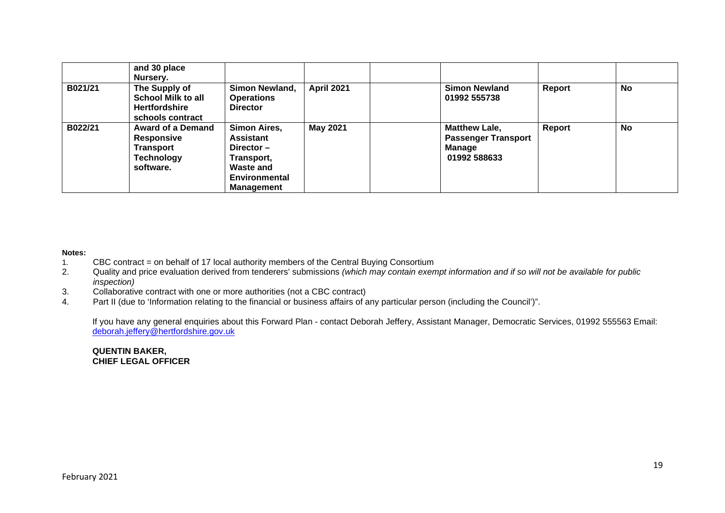|         | and 30 place<br>Nursery.                                                              |                                                                                                                   |                   |                                                                                     |        |           |
|---------|---------------------------------------------------------------------------------------|-------------------------------------------------------------------------------------------------------------------|-------------------|-------------------------------------------------------------------------------------|--------|-----------|
| B021/21 | The Supply of<br>School Milk to all<br><b>Hertfordshire</b><br>schools contract       | Simon Newland,<br><b>Operations</b><br><b>Director</b>                                                            | <b>April 2021</b> | <b>Simon Newland</b><br>01992 555738                                                | Report | <b>No</b> |
| B022/21 | <b>Award of a Demand</b><br><b>Responsive</b><br>Transport<br>Technology<br>software. | Simon Aires,<br>Assistant<br>Director $-$<br>Transport,<br><b>Waste and</b><br>Environmental<br><b>Management</b> | May 2021          | <b>Matthew Lale,</b><br><b>Passenger Transport</b><br><b>Manage</b><br>01992 588633 | Report | <b>No</b> |

### **Notes:**

- 1. CBC contract = on behalf of 17 local authority members of the Central Buying Consortium
- 2. Quality and price evaluation derived from tenderers' submissions *(which may contain exempt information and if so will not be available for public inspection)*
- 3. Collaborative contract with one or more authorities (not a CBC contract)
- 4. Part II (due to 'Information relating to the financial or business affairs of any particular person (including the Council')".

If you have any general enquiries about this Forward Plan - contact Deborah Jeffery, Assistant Manager, Democratic Services, 01992 555563 Email: deborah.jeffery@hertfordshire.gov.uk

### **QUENTIN BAKER, CHIEF LEGAL OFFICER**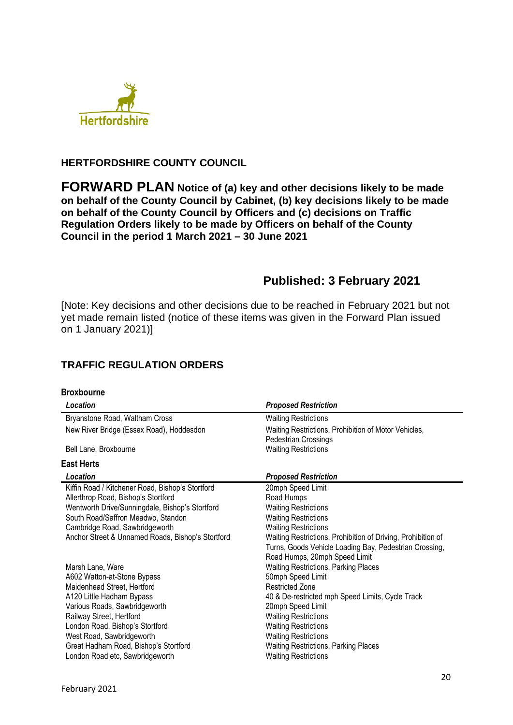

## **HERTFORDSHIRE COUNTY COUNCIL**

**FORWARD PLAN Notice of (a) key and other decisions likely to be made on behalf of the County Council by Cabinet, (b) key decisions likely to be made on behalf of the County Council by Officers and (c) decisions on Traffic Regulation Orders likely to be made by Officers on behalf of the County Council in the period 1 March 2021 – 30 June 2021** 

# **Published: 3 February 2021**

[Note: Key decisions and other decisions due to be reached in February 2021 but not yet made remain listed (notice of these items was given in the Forward Plan issued on 1 January 2021)]

## **TRAFFIC REGULATION ORDERS**

| <b>Broxbourne</b>                                 |                                                                                                                                                         |
|---------------------------------------------------|---------------------------------------------------------------------------------------------------------------------------------------------------------|
| Location                                          | <b>Proposed Restriction</b>                                                                                                                             |
| Bryanstone Road, Waltham Cross                    | <b>Waiting Restrictions</b>                                                                                                                             |
| New River Bridge (Essex Road), Hoddesdon          | Waiting Restrictions, Prohibition of Motor Vehicles,<br>Pedestrian Crossings                                                                            |
| Bell Lane, Broxbourne                             | <b>Waiting Restrictions</b>                                                                                                                             |
| <b>East Herts</b>                                 |                                                                                                                                                         |
| Location                                          | <b>Proposed Restriction</b>                                                                                                                             |
| Kiffin Road / Kitchener Road, Bishop's Stortford  | 20mph Speed Limit                                                                                                                                       |
| Allerthrop Road, Bishop's Stortford               | Road Humps                                                                                                                                              |
| Wentworth Drive/Sunningdale, Bishop's Stortford   | <b>Waiting Restrictions</b>                                                                                                                             |
| South Road/Saffron Meadwo, Standon                | <b>Waiting Restrictions</b>                                                                                                                             |
| Cambridge Road, Sawbridgeworth                    | <b>Waiting Restrictions</b>                                                                                                                             |
| Anchor Street & Unnamed Roads, Bishop's Stortford | Waiting Restrictions, Prohibition of Driving, Prohibition of<br>Turns, Goods Vehicle Loading Bay, Pedestrian Crossing,<br>Road Humps, 20mph Speed Limit |
| Marsh Lane, Ware                                  | Waiting Restrictions, Parking Places                                                                                                                    |
| A602 Watton-at-Stone Bypass                       | 50mph Speed Limit                                                                                                                                       |
| Maidenhead Street, Hertford                       | <b>Restricted Zone</b>                                                                                                                                  |
| A120 Little Hadham Bypass                         | 40 & De-restricted mph Speed Limits, Cycle Track                                                                                                        |
| Various Roads, Sawbridgeworth                     | 20mph Speed Limit                                                                                                                                       |
| Railway Street, Hertford                          | <b>Waiting Restrictions</b>                                                                                                                             |
| London Road, Bishop's Stortford                   | <b>Waiting Restrictions</b>                                                                                                                             |
| West Road, Sawbridgeworth                         | <b>Waiting Restrictions</b>                                                                                                                             |
| Great Hadham Road, Bishop's Stortford             | Waiting Restrictions, Parking Places                                                                                                                    |
| London Road etc, Sawbridgeworth                   | <b>Waiting Restrictions</b>                                                                                                                             |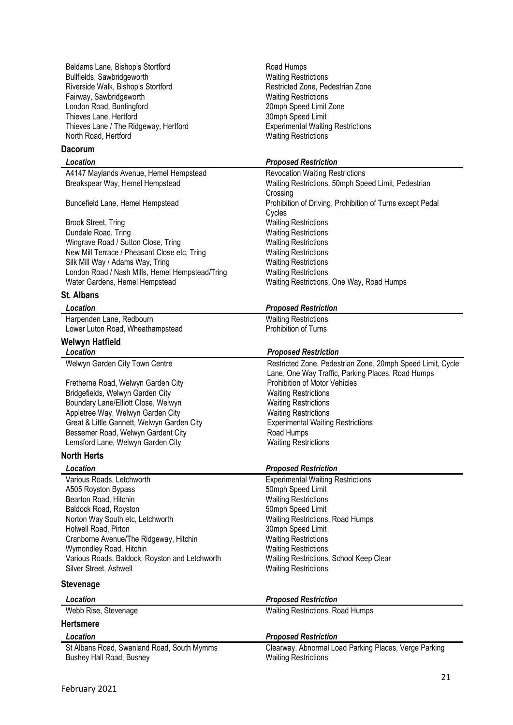Beldams Lane, Bishop's Stortford Road Humps Bullfields, Sawbridgeworth Waiting Restrictions Riverside Walk, Bishop's Stortford **Restricted Zone, Pedestrian Zone** Fairway, Sawbridgeworth **Waiting Restrictions** London Road, Buntingford 20mph Speed Limit Zone Thieves Lane, Hertford 30mph Speed Limit Thieves Lane / The Ridgeway, Hertford Experimental Waiting Restrictions North Road, Hertford Waiting Restrictions

### **Dacorum**

A4147 Maylands Avenue, Hemel Hempstead Revocation Waiting Restrictions

Brook Street, Tring The Contract of the Matter Waiting Restrictions<br>
Dundale Road. Tring The Contract of Matter Waiting Restrictions Wingrave Road / Sutton Close, Tring Waiting Restrictions<br>
New Mill Terrace / Pheasant Close etc. Tring Waiting Restrictions New Mill Terrace / Pheasant Close etc. Tring Silk Mill Way / Adams Way, Tring<br>
London Road / Nash Mills, Hemel Hempstead/Tring Waiting Restrictions London Road / Nash Mills, Hemel Hempstead/Tring Water Gardens, Hemel Hempstead

## **St. Albans**

Harpenden Lane, Redbourn Waiting Restrictions Lower Luton Road, Wheathampstead Prohibition of Turns

## **Welwyn Hatfield**

Fretherne Road, Welwyn Garden City<br>
Bridgefields. Welwyn Garden City<br>
Waiting Restrictions Bridgefields, Welwyn Garden City Boundary Lane/Elliott Close, Welwyn Waiting Restrictions Appletree Way, Welwyn Garden City Waiting Restrictions Great & Little Gannett, Welwyn Garden City Experimental Waiting Restrictions Bessemer Road, Welwyn Gardent City **Road Humps** Lemsford Lane, Welwyn Garden City **Waiting Restrictions** 

### **North Herts**

*Location Proposed Restriction* Various Roads, Letchworth Experimental Waiting Restrictions A505 Royston Bypass<br>Bearton Road, Hitchin Speed Limit<br>
Bearton Road, Hitchin Speed Limit Bearton Road, Hitchin Baldock Road, Royston 600 and 50mph Speed Limit Norton Way South etc, Letchworth Way Waiting Restrictions, Road Humps Holwell Road, Pirton **30mph Speed Limit** Cranborne Avenue/The Ridgeway, Hitchin Waiting Restrictions Wymondley Road, Hitchin Wymondley Road, Hitchin Waiting Restrictions Various Roads, Baldock, Royston and Letchworth Waiting Restrictions, School Keep Clear Silver Street, Ashwell Waiting Restrictions

## **Stevenage**

| Location                                   | <b>Proposed Restriction</b>                           |
|--------------------------------------------|-------------------------------------------------------|
| Webb Rise, Stevenage                       | <b>Waiting Restrictions, Road Humps</b>               |
| <b>Hertsmere</b>                           |                                                       |
| Location                                   | <b>Proposed Restriction</b>                           |
| St Albans Road, Swanland Road, South Mymms | Clearway, Abnormal Load Parking Places, Verge Parking |
| Bushey Hall Road, Bushey                   | <b>Waiting Restrictions</b>                           |

### *Location Proposed Restriction*

Breakspear Way, Hemel Hempstead Waiting Restrictions, 50mph Speed Limit, Pedestrian Crossing Buncefield Lane, Hemel Hempstead Prohibition of Driving, Prohibition of Turns except Pedal Cycles Waiting Restrictions<br>Waiting Restrictions Waiting Restrictions, One Way, Road Humps

### *Location Proposed Restriction*

### *Location Proposed Restriction*

Welwyn Garden City Town Centre **Restricted Zone, Pedestrian Zone, 20mph Speed Limit, Cycle** Lane, One Way Traffic, Parking Places, Road Humps